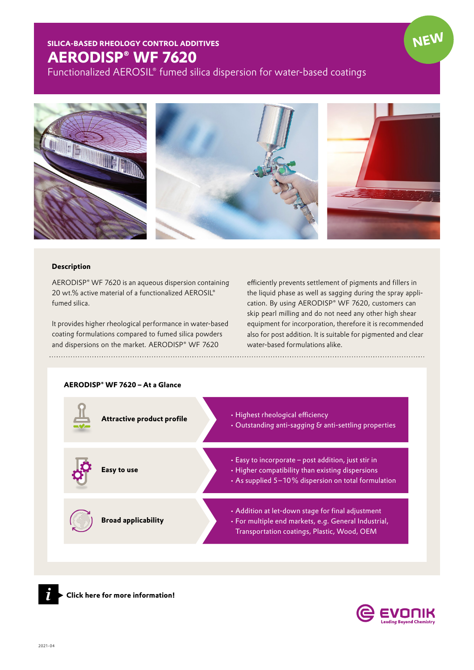## **SILICA-BASED RHEOLOGY CONTROL ADDITIVES AERODISP® WF 7620**

Functionalized AEROSIL® fumed silica dispersion for water-based coatings



## **Description**

AERODISP® WF 7620 is an aqueous dispersion containing 20 wt.% active material of a functionalized AEROSIL® fumed silica.

It provides higher rheological performance in water-based coating formulations compared to fumed silica powders and dispersions on the market. AERODISP® WF 7620 

efficiently prevents settlement of pigments and fillers in the liquid phase as well as sagging during the spray application. By using AERODISP® WF 7620, customers can skip pearl milling and do not need any other high shear equipment for incorporation, therefore it is recommended also for post addition. It is suitable for pigmented and clear water-based formulations alike.

## **AERODISP® WF 7620 – At a Glance**

| <b>Attractive product profile</b> | • Highest rheological efficiency<br>• Outstanding anti-sagging & anti-settling properties                                                                      |
|-----------------------------------|----------------------------------------------------------------------------------------------------------------------------------------------------------------|
| Easy to use                       | • Easy to incorporate - post addition, just stir in<br>· Higher compatibility than existing dispersions<br>• As supplied 5-10% dispersion on total formulation |
| <b>Broad applicability</b>        | • Addition at let-down stage for final adjustment<br>· For multiple end markets, e.g. General Industrial,<br>Transportation coatings, Plastic, Wood, OEM       |



*[i](https://www.coatino.com/en/product/aerodisp-wf-7620)* **▸ Click here for more information!**



**NEW**